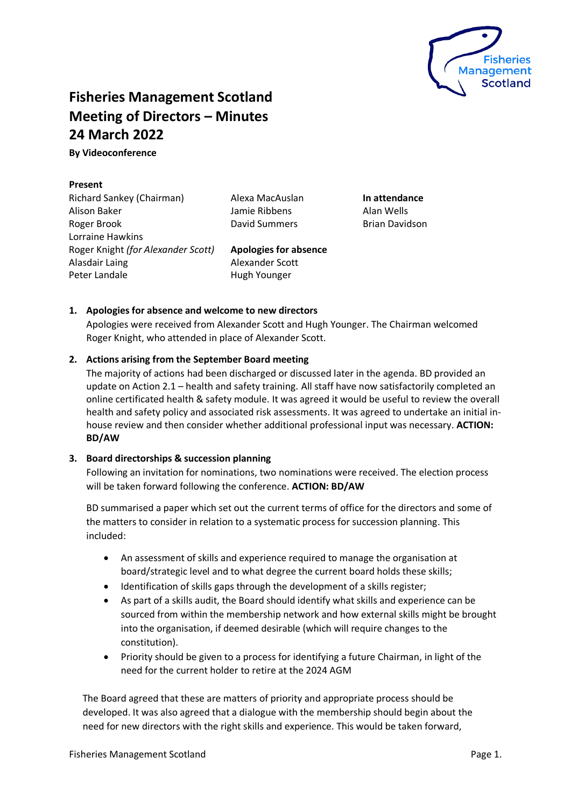

# **Fisheries Management Scotland Meeting of Directors – Minutes 24 March 2022**

**By Videoconference** 

## **Present**

Richard Sankey (Chairman) Alison Baker Roger Brook Lorraine Hawkins Roger Knight *(for Alexander Scott)* Alasdair Laing Peter Landale

Alexa MacAuslan Jamie Ribbens David Summers

**Apologies for absence**

**In attendance** Alan Wells Brian Davidson

## Alexander Scott Hugh Younger

## **1. Apologies for absence and welcome to new directors**

Apologies were received from Alexander Scott and Hugh Younger. The Chairman welcomed Roger Knight, who attended in place of Alexander Scott.

## **2. Actions arising from the September Board meeting**

The majority of actions had been discharged or discussed later in the agenda. BD provided an update on Action 2.1 – health and safety training. All staff have now satisfactorily completed an online certificated health & safety module. It was agreed it would be useful to review the overall health and safety policy and associated risk assessments. It was agreed to undertake an initial inhouse review and then consider whether additional professional input was necessary. **ACTION: BD/AW**

#### **3. Board directorships & succession planning**

Following an invitation for nominations, two nominations were received. The election process will be taken forward following the conference. **ACTION: BD/AW**

BD summarised a paper which set out the current terms of office for the directors and some of the matters to consider in relation to a systematic process for succession planning. This included:

- An assessment of skills and experience required to manage the organisation at board/strategic level and to what degree the current board holds these skills;
- Identification of skills gaps through the development of a skills register;
- As part of a skills audit, the Board should identify what skills and experience can be sourced from within the membership network and how external skills might be brought into the organisation, if deemed desirable (which will require changes to the constitution).
- Priority should be given to a process for identifying a future Chairman, in light of the need for the current holder to retire at the 2024 AGM

The Board agreed that these are matters of priority and appropriate process should be developed. It was also agreed that a dialogue with the membership should begin about the need for new directors with the right skills and experience. This would be taken forward,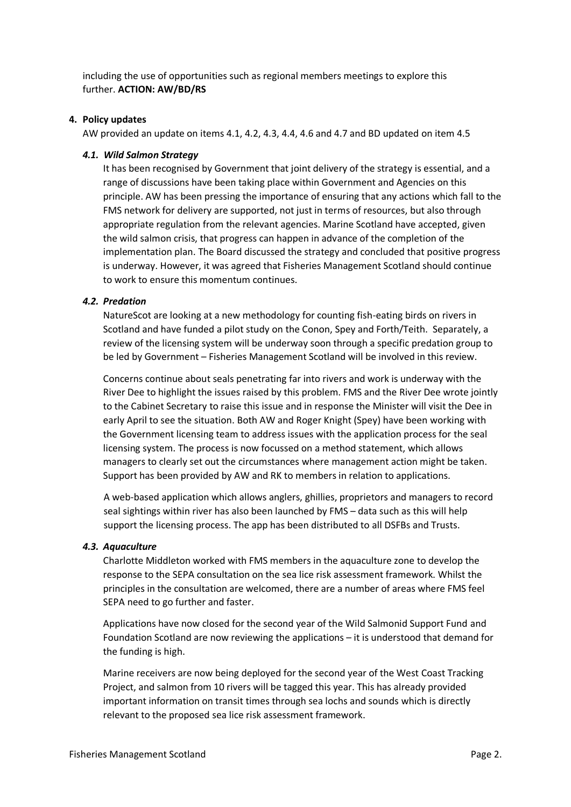including the use of opportunities such as regional members meetings to explore this further. **ACTION: AW/BD/RS**

#### **4. Policy updates**

AW provided an update on items 4.1, 4.2, 4.3, 4.4, 4.6 and 4.7 and BD updated on item 4.5

#### *4.1. Wild Salmon Strategy*

It has been recognised by Government that joint delivery of the strategy is essential, and a range of discussions have been taking place within Government and Agencies on this principle. AW has been pressing the importance of ensuring that any actions which fall to the FMS network for delivery are supported, not just in terms of resources, but also through appropriate regulation from the relevant agencies. Marine Scotland have accepted, given the wild salmon crisis, that progress can happen in advance of the completion of the implementation plan. The Board discussed the strategy and concluded that positive progress is underway. However, it was agreed that Fisheries Management Scotland should continue to work to ensure this momentum continues.

#### *4.2. Predation*

NatureScot are looking at a new methodology for counting fish-eating birds on rivers in Scotland and have funded a pilot study on the Conon, Spey and Forth/Teith. Separately, a review of the licensing system will be underway soon through a specific predation group to be led by Government – Fisheries Management Scotland will be involved in this review.

Concerns continue about seals penetrating far into rivers and work is underway with the River Dee to highlight the issues raised by this problem. FMS and the River Dee wrote jointly to the Cabinet Secretary to raise this issue and in response the Minister will visit the Dee in early April to see the situation. Both AW and Roger Knight (Spey) have been working with the Government licensing team to address issues with the application process for the seal licensing system. The process is now focussed on a method statement, which allows managers to clearly set out the circumstances where management action might be taken. Support has been provided by AW and RK to members in relation to applications.

A web-based application which allows anglers, ghillies, proprietors and managers to record seal sightings within river has also been launched by FMS – data such as this will help support the licensing process. The app has been distributed to all DSFBs and Trusts.

#### *4.3. Aquaculture*

Charlotte Middleton worked with FMS members in the aquaculture zone to develop the response to the SEPA consultation on the sea lice risk assessment framework. Whilst the principles in the consultation are welcomed, there are a number of areas where FMS feel SEPA need to go further and faster.

Applications have now closed for the second year of the Wild Salmonid Support Fund and Foundation Scotland are now reviewing the applications – it is understood that demand for the funding is high.

Marine receivers are now being deployed for the second year of the West Coast Tracking Project, and salmon from 10 rivers will be tagged this year. This has already provided important information on transit times through sea lochs and sounds which is directly relevant to the proposed sea lice risk assessment framework.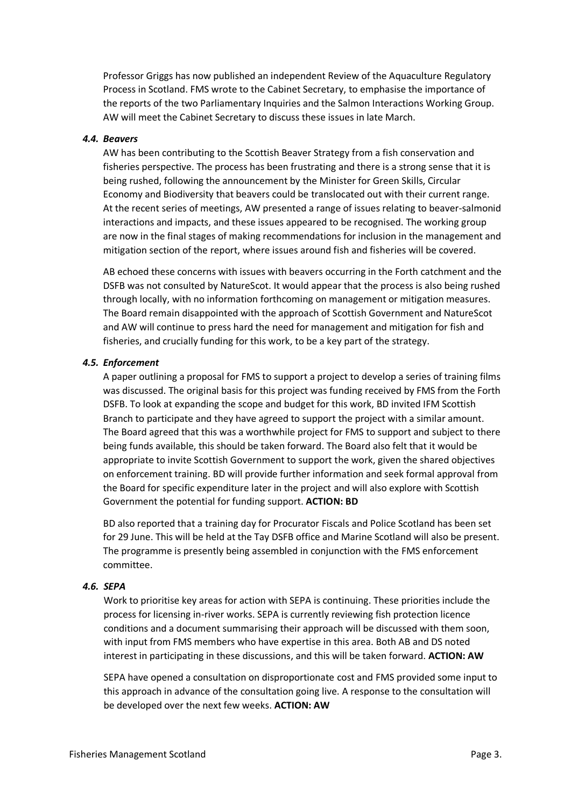Professor Griggs has now published an independent Review of the Aquaculture Regulatory Process in Scotland. FMS wrote to the Cabinet Secretary, to emphasise the importance of the reports of the two Parliamentary Inquiries and the Salmon Interactions Working Group. AW will meet the Cabinet Secretary to discuss these issues in late March.

#### *4.4. Beavers*

AW has been contributing to the Scottish Beaver Strategy from a fish conservation and fisheries perspective. The process has been frustrating and there is a strong sense that it is being rushed, following the announcement by the Minister for Green Skills, Circular Economy and Biodiversity that beavers could be translocated out with their current range. At the recent series of meetings, AW presented a range of issues relating to beaver-salmonid interactions and impacts, and these issues appeared to be recognised. The working group are now in the final stages of making recommendations for inclusion in the management and mitigation section of the report, where issues around fish and fisheries will be covered.

AB echoed these concerns with issues with beavers occurring in the Forth catchment and the DSFB was not consulted by NatureScot. It would appear that the process is also being rushed through locally, with no information forthcoming on management or mitigation measures. The Board remain disappointed with the approach of Scottish Government and NatureScot and AW will continue to press hard the need for management and mitigation for fish and fisheries, and crucially funding for this work, to be a key part of the strategy.

#### *4.5. Enforcement*

A paper outlining a proposal for FMS to support a project to develop a series of training films was discussed. The original basis for this project was funding received by FMS from the Forth DSFB. To look at expanding the scope and budget for this work, BD invited IFM Scottish Branch to participate and they have agreed to support the project with a similar amount. The Board agreed that this was a worthwhile project for FMS to support and subject to there being funds available, this should be taken forward. The Board also felt that it would be appropriate to invite Scottish Government to support the work, given the shared objectives on enforcement training. BD will provide further information and seek formal approval from the Board for specific expenditure later in the project and will also explore with Scottish Government the potential for funding support. **ACTION: BD**

BD also reported that a training day for Procurator Fiscals and Police Scotland has been set for 29 June. This will be held at the Tay DSFB office and Marine Scotland will also be present. The programme is presently being assembled in conjunction with the FMS enforcement committee.

#### *4.6. SEPA*

Work to prioritise key areas for action with SEPA is continuing. These priorities include the process for licensing in-river works. SEPA is currently reviewing fish protection licence conditions and a document summarising their approach will be discussed with them soon, with input from FMS members who have expertise in this area. Both AB and DS noted interest in participating in these discussions, and this will be taken forward. **ACTION: AW**

SEPA have opened a consultation on disproportionate cost and FMS provided some input to this approach in advance of the consultation going live. A response to the consultation will be developed over the next few weeks. **ACTION: AW**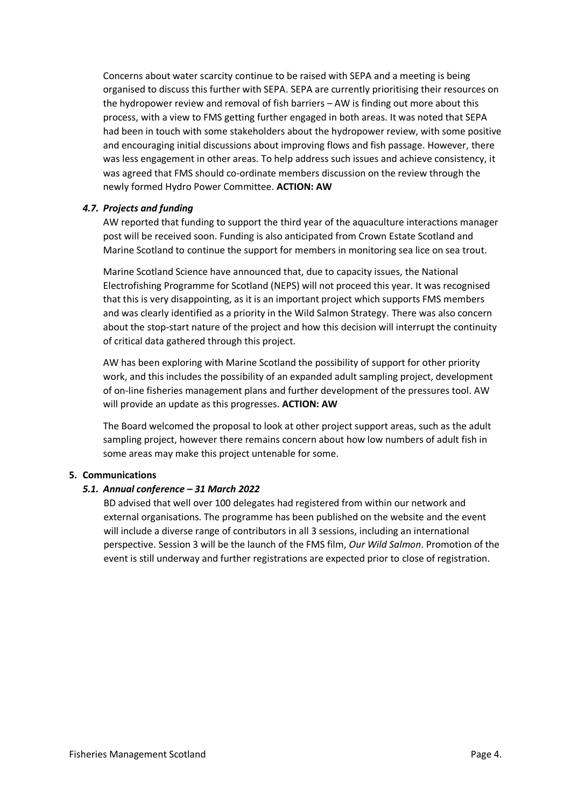Concerns about water scarcity continue to be raised with SEPA and a meeting is being organised to discuss this further with SEPA. SEPA are currently prioritising their resources on the hydropower review and removal of fish barriers – AW is finding out more about this process, with a view to FMS getting further engaged in both areas. It was noted that SEPA had been in touch with some stakeholders about the hydropower review, with some positive and encouraging initial discussions about improving flows and fish passage. However, there was less engagement in other areas. To help address such issues and achieve consistency, it was agreed that FMS should co-ordinate members discussion on the review through the newly formed Hydro Power Committee. **ACTION: AW**

#### *4.7. Projects and funding*

AW reported that funding to support the third year of the aquaculture interactions manager post will be received soon. Funding is also anticipated from Crown Estate Scotland and Marine Scotland to continue the support for members in monitoring sea lice on sea trout.

Marine Scotland Science have announced that, due to capacity issues, the National Electrofishing Programme for Scotland (NEPS) will not proceed this year. It was recognised that this is very disappointing, as it is an important project which supports FMS members and was clearly identified as a priority in the Wild Salmon Strategy. There was also concern about the stop-start nature of the project and how this decision will interrupt the continuity of critical data gathered through this project.

AW has been exploring with Marine Scotland the possibility of support for other priority work, and this includes the possibility of an expanded adult sampling project, development of on-line fisheries management plans and further development of the pressures tool. AW will provide an update as this progresses. **ACTION: AW**

The Board welcomed the proposal to look at other project support areas, such as the adult sampling project, however there remains concern about how low numbers of adult fish in some areas may make this project untenable for some.

#### **5. Communications**

#### *5.1. Annual conference – 31 March 2022*

BD advised that well over 100 delegates had registered from within our network and external organisations. The programme has been published on the website and the event will include a diverse range of contributors in all 3 sessions, including an international perspective. Session 3 will be the launch of the FMS film, *Our Wild Salmon*. Promotion of the event is still underway and further registrations are expected prior to close of registration.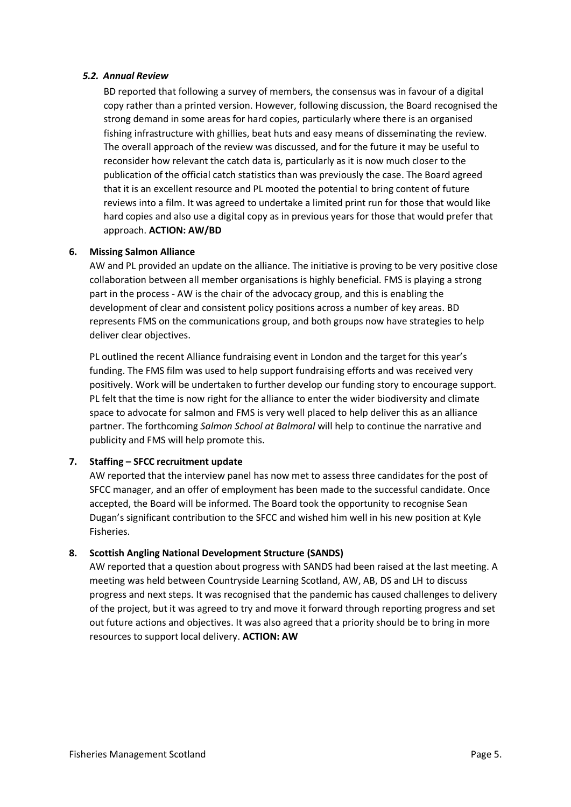#### *5.2. Annual Review*

BD reported that following a survey of members, the consensus was in favour of a digital copy rather than a printed version. However, following discussion, the Board recognised the strong demand in some areas for hard copies, particularly where there is an organised fishing infrastructure with ghillies, beat huts and easy means of disseminating the review. The overall approach of the review was discussed, and for the future it may be useful to reconsider how relevant the catch data is, particularly as it is now much closer to the publication of the official catch statistics than was previously the case. The Board agreed that it is an excellent resource and PL mooted the potential to bring content of future reviews into a film. It was agreed to undertake a limited print run for those that would like hard copies and also use a digital copy as in previous years for those that would prefer that approach. **ACTION: AW/BD**

## **6. Missing Salmon Alliance**

AW and PL provided an update on the alliance. The initiative is proving to be very positive close collaboration between all member organisations is highly beneficial. FMS is playing a strong part in the process - AW is the chair of the advocacy group, and this is enabling the development of clear and consistent policy positions across a number of key areas. BD represents FMS on the communications group, and both groups now have strategies to help deliver clear objectives.

PL outlined the recent Alliance fundraising event in London and the target for this year's funding. The FMS film was used to help support fundraising efforts and was received very positively. Work will be undertaken to further develop our funding story to encourage support. PL felt that the time is now right for the alliance to enter the wider biodiversity and climate space to advocate for salmon and FMS is very well placed to help deliver this as an alliance partner. The forthcoming *Salmon School at Balmoral* will help to continue the narrative and publicity and FMS will help promote this.

## **7. Staffing – SFCC recruitment update**

AW reported that the interview panel has now met to assess three candidates for the post of SFCC manager, and an offer of employment has been made to the successful candidate. Once accepted, the Board will be informed. The Board took the opportunity to recognise Sean Dugan's significant contribution to the SFCC and wished him well in his new position at Kyle Fisheries.

## **8. Scottish Angling National Development Structure (SANDS)**

AW reported that a question about progress with SANDS had been raised at the last meeting. A meeting was held between Countryside Learning Scotland, AW, AB, DS and LH to discuss progress and next steps. It was recognised that the pandemic has caused challenges to delivery of the project, but it was agreed to try and move it forward through reporting progress and set out future actions and objectives. It was also agreed that a priority should be to bring in more resources to support local delivery. **ACTION: AW**